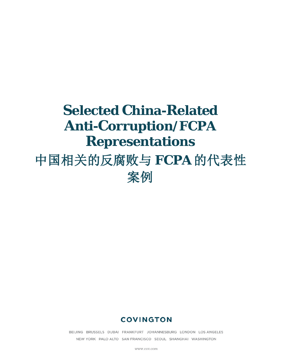# **Selected China-Related Anti-Corruption/FCPA Representations** 中国相关的反腐败与 **FCPA** 的代表性 案例

## **COVINGTON**

BEIJING BRUSSELS DUBAI FRANKFURT JOHANNESBURG LONDON LOS ANGELES NEW YORK PALO ALTO SAN FRANCISCO SEOUL SHANGHAI WASHINGTON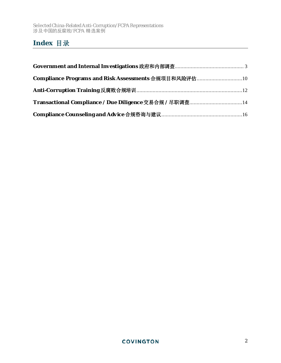## **Index** 目录

| Compliance Programs and Risk Assessments 合规项目和风险评估10   |  |
|--------------------------------------------------------|--|
|                                                        |  |
| Transactional Compliance / Due Diligence 交易合规 / 尽职调查14 |  |
|                                                        |  |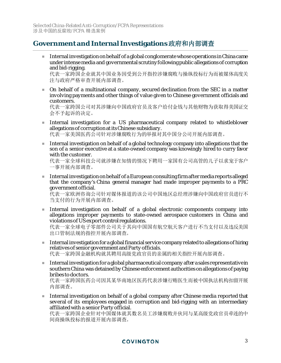## <span id="page-2-0"></span>**Government and Internal Investigations** 政府和内部调查

Internal investigation on behalf of a global conglomerate whose operations in China came under intense media and governmental scrutiny following public allegations of corruption and bid-rigging.

代表一家跨国企业就其中国业务因受到公开指控涉嫌腐败与操纵投标行为而被媒体高度关 注与政府严格审查开展内部调查。

 On behalf of a multinational company, secured declination from the SEC in a matter involving payments and other things of value given to Chinese government officials and customers.

代表一家跨国公司对其涉嫌向中国政府官员及客户给付金钱与其他财物为获取得美国证交 会不予起诉的决定。

- Internal investigation for a US pharmaceutical company related to whistleblower allegations of corruption at its Chinese subsidiary. 代表一家美国医药公司针对涉嫌腐败行为的举报对其中国分公司开展内部调查。
- Internal investigation on behalf of a global technology company into allegations that the son of a senior executive at a state-owned company was knowingly hired to curry favor with the customer.

代表一家全球科技公司就涉嫌在知情的情况下聘用一家国有公司高管的儿子以求宠于客户 一事开展内部调查。

 $\blacksquare$  Internal investigation on behalf of a European consulting firm after media reports alleged that the company's China general manager had made improper payments to a PRC government official.

代表一家欧洲咨询公司针对媒体报道的该公司中国地区总经理涉嫌向中国政府官员进行不 当支付的行为开展内部调查。

 Internal investigation on behalf of a global electronic components company into allegations improper payments to state-owned aerospace customers in China and violations of US export control regulations.

代表一家全球电子零部件公司关于其向中国国有航空航天客户进行不当支付以及违反美国 出口管制法规的指控开展内部调查。

- $\blacksquare$  Internal investigation for a global financial service company related to allegations of hiring relatives of senior government and Party officials. 代表一家跨国金融机构就其聘用高级党政官员的亲属的相关指控开展内部调查。
- Internal investigation for a global pharmaceutical company after a sales representative in southern China was detained by Chinese enforcement authorities on allegations of paying bribes to doctors.

代表一家跨国医药公司因其某华南地区医药代表涉嫌行贿医生而被中国执法机构扣留开展 内部调查。

Internal investigation on behalf of a global company after Chinese media reported that several of its employees engaged in corruption and bid-rigging with an intermediary affiliated with a senior Party official.

代表一家跨国企业针对中国媒体就其数名员工涉嫌腐败并伙同与某高级党政官员牵连的中 间商操纵投标的报道开展内部调查。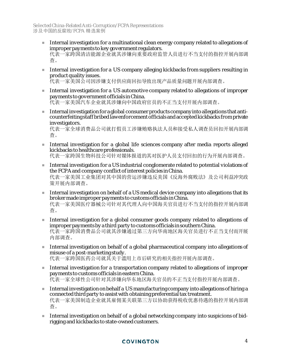- Internal investigation for a multinational clean energy company related to allegations of improper payments to key government regulators. 代表一家跨国清洁能源企业就其涉嫌向重要政府监管人员进行不当支付的指控开展内部调 查。
- Internal investigation for a US company alleging kickbacks from suppliers resulting in product quality issues.

代表一家美国公司因涉嫌支付供应商回扣导致出现产品质量问题开展内部调查。

- Internal investigation for a US automotive company related to allegations of improper payments to government officials in China. 代表一家美国汽车企业就其涉嫌向中国政府官员的不正当支付开展内部调查。
- Internal investigation for a global consumer products company into allegations that anticounterfeiting staff bribed law enforcement officials and accepted kickbacks from private investigators.

代表一家全球消费品公司就打假员工涉嫌贿赂执法人员和接受私人调查员回扣开展内部调 查。

- Internal investigation for a global life sciences company after media reports alleged kickbacks to healthcare professionals. 代表一家跨国生物科技公司针对媒体报道的其对医护人员支付回扣的行为开展内部调查。
- Internal investigation for a US industrial conglomerate related to potential violations of the FCPA and company conflict of interest policies in China. 代表一家美国工业集团对其中国的营运涉嫌违反美国《反海外腐败法》及公司利益冲突政 策开展内部调查。
- Internal investigation on behalf of a US medical device company into allegations that its broker made improper payments to customs officials in China. 代表一家美国医疗器械公司针对其代理人向中国海关官员进行不当支付的指控开展内部调 查。
- Internal investigation for a global consumer goods company related to allegations of improper payments by a third party to customs officials in southern China. 代表一家跨国消费品公司就其涉嫌通过第三方向华南地区海关官员进行不正当支付而开展 内部调查。
- Internal investigation on behalf of a global pharmaceutical company into allegations of misuse of a post-marketing study. 代表一家跨国医药公司就其关于滥用上市后研究的相关指控开展内部调查。
- Internal investigation for a transportation company related to allegations of improper payments to customs officials in eastern China. 代表一家全球性公司针对其涉嫌向华东地区海关官员的不正当支付指控开展内部调查。
- Internal investigation on behalf a US manufacturing company into allegations of hiring a connected third party to assist with obtaining preferential tax treatment. 代表一家美国制造企业就其雇佣某关联第三方以协助获得税收优惠待遇的指控开展内部调 查。
- Internal investigation on behalf of a global networking company into suspicions of bidrigging and kickbacks to state-owned customers.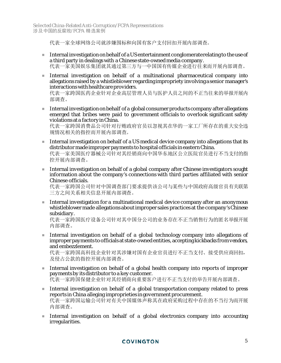代表一家全球网络公司就涉嫌围标和向国有客户支付回扣开展内部调查。

- Internal investigation on behalf of a US entertainment conglomerate relating to the use of a third party in dealings with a Chinese state-owned media company. 代表一家美国娱乐集团就其通过第三方与一中国国有传媒企业进行往来而开展内部调查。
- Internal investigation on behalf of a multinational pharmaceutical company into allegations raised by a whistleblower regarding impropriety involving a senior manager's interactions with healthcare providers.

代表一家跨国医药企业针对企业高层管理人员与医护人员之间的不正当往来的举报开展内 部调查。

Internal investigation on behalf of a global consumer products company after allegations emerged that bribes were paid to government officials to overlook significant safety violations at a factory in China.

代表一家跨国消费品公司针对行贿政府官员以忽视其在华的一家工厂所存在的重大安全违 规情况相关的指控而开展内部调查。

- Internal investigation on behalf of a US medical device company into allegations that its distributor made improper payments to hospital officials in eastern China. 代表一家美国医疗器械公司针对其经销商向中国华东地区公立医院官员进行不当支付的指 控开展内部调查。
- Internal investigation on behalf of a global company after Chinese investigators sought information about the company's connections with third parties affiliated with senior Chinese officials.

代表一家跨国公司针对中国调查部门要求提供该公司与某些与中国政府高级官员有关联第 三方之间关系相关信息开展内部调查。

Internal investigation for a multinational medical device company after an anonymous whistleblower made allegations about improper sales practices at the company's Chinese subsidiary.

代表一家跨国医疗设备公司针对其中国分公司的业务存在不正当销售行为的匿名举报开展 内部调查。

Internal investigation on behalf of a global technology company into allegations of improper payments to officials at state-owned entities, accepting kickbacks from vendors, and embezzlement.

代表一家跨国高科技企业针对其涉嫌对国有企业官员进行不正当支付、接受供应商回扣, 及侵占公款的指控开展内部调查。

- Internal investigation on behalf of a global health company into reports of improper payments by its distributor to a key customer. 代表一家跨国保健企业针对其经销商向重要客户进行不正当支付的举告开展内部调查。
- Internal investigation on behalf of a global transportation company related to press reports in China alleging improprieties in government procurement. 代表一家跨国运输公司针对有关中国媒体声称其在政府采购过程中存在的不当行为而开展 内部调查。
- Internal investigation on behalf of a global electronics company into accounting irregularities.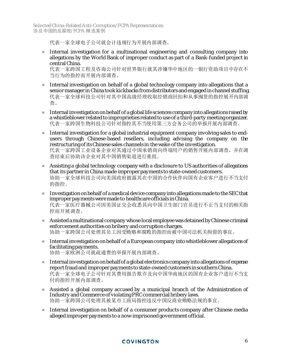Selected China-Related Anti-Corruption/FCPA Representations 涉及中国的反腐败/FCPA 精选案例

代表一家全球电子公司就会计违规行为开展内部调查。

Internal investigation for a multinational engineering and consulting company into allegations by the World Bank of improper conduct as part of a Bank-funded project in central China.

代表一家跨国工程及咨询公司针对世界银行就其涉嫌华中地区的一银行资助项目中存在不 当行为的指控而开展内部调查。

- Internal investigation on behalf of a global technology company into allegations that a senior manager in China took kickbacks from distributors and engaged in channel stuffing. 代表一家全球科技公司针对其中国高级经理收取经销商回扣和从事囤货的指控展开内部调 查。
- Internal investigation on behalf of a global life sciences company into allegations raised by a whistleblower related to improprieties related to use of a third-party meeting organizer. 代表一家跨国生物科技公司针对指控其不当使用第三方会务公司的举报开展内部调查。
- Internal investigation for a global industrial equipment company involving sales to endusers through Chinese-based resellers, including advising the company on the restructuring of its Chinese sales channels in the wake of the investigation. 代表一家跨国工业设备企业对其通过中国承销商向终端用户的销售开展内部调查,并在调 查结束后协助该企业对其中国销售渠道进行重组。
- **Assisting a global technology company with a disclosure to US authorities of allegations** that its partner in China made improper payments to state-owned customers. 协助一家全球科技公司向美国政府披露其在中国的合作伙伴向国有企业客户进行不当支付 的指控。
- Investigation on behalf of a medical device company into allegations made to the SEC that improper payments were made to healthcare officials in China. 代表一家医疗器械公司因美国证交会收悉其向中国卫生部门官员进行不正当支付的相关指 控而开展调查。
- **Assisted a multinational company whose local employee was detained by Chinese criminal** enforcement authorities on bribery and corruption charges. 协助一家跨国公司处理其员工因受贿赂和腐败的指控而被中国司法机关拘留的事宜。
- Internal investigation on behalf of a European company into whistleblower allegations of facilitating payments. 协助一家欧洲公司就疏通费的举报开展内部调查。
- Internal investigation on behalf of a global electronics company into allegations of expense report fraud and improper payments to state-owned customers in southern China. 代表一家全球电子公司针对其费用报告欺诈及向中国华南地区的国有企业客户进行不当支 付的指控开展内部调查。
- Assisted a global company accused by a municipal branch of the Administration of Industry and Commerce of violating PRC commercial bribery laws. 协助一家跨国公司处理其被某市工商局指控违反中国反商业贿赂法规的事宜。
- **Internal investigation on behalf of a consumer products company after Chinese media** alleged improper payments to a now-imprisoned government official.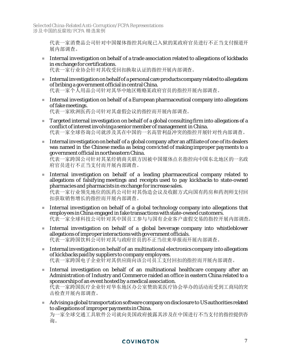代表一家消费品公司针对中国媒体指控其向现已入狱的某政府官员进行不正当支付报道开 展内部调查。

- Internal investigation on behalf of a trade association related to allegations of kickbacks in exchange for certifications. 代表一家行业协会针对其收受回扣换取认证的指控开展内部调查。
- Internal investigation on behalf of a personal care products company related to allegations of bribing a government official in central China. 代表一家个人用品公司针对其华中地区贿赂某政府官员的指控开展内部调查。
- **Internal investigation on behalf of a European pharmaceutical company into allegations** of fake meetings. 代表一家欧洲医药公司针对其虚假会议的指控而开展内部调查。

Targeted internal investigation on behalf of a global consulting firm into allegations of a

- conflict of interest involving a senior member of management in China. 代表一家全球咨询公司就涉及其在中国的一名高管利益冲突的指控开展针对性内部调查。
- Internal investigation on behalf of a global company after an affiliate of one of its dealers was named in the Chinese media as being convicted of making improper payments to a government official in northeastern China.

代表一家跨国公司针对其某经销商关联方因被中国媒体点名指控向中国东北地区的一名政 府官员进行不正当支付而开展内部调查。

- Internal investigation on behalf of a leading pharmaceutical company related to allegations of falsifying meetings and receipts used to pay kickbacks to state-owned pharmacies and pharmacists in exchange for increase sales. 代表一家行业领先地位的医药公司针对其伪造会议及收据方式向国有药房和药剂师支付回 扣获取销售增长的指控而开展内部调查。
- Internal investigation on behalf of a global technology company into allegations that employees in China engaged in fake transactions with state-owned customers. 代表一家全球科技公司针对其中国员工参与与国有企业客户虚假交易的指控开展内部调查。
- Internal investigation on behalf of a global beverage company into whistleblower allegations of improper interactions with government officials. 代表一家跨国饮料公司针对其与政府官员的不正当往来举报而开展内部调查。
- Internal investigation on behalf of an multinational electronics company into allegations of kickbacks paid by suppliers to company employees. 代表一家跨国电子企业针对其供应商向该公司员工支付回扣的指控而开展内部调查。
- Internal investigation on behalf of an multinational healthcare company after an Administration of Industry and Commerce raided an office in eastern China related to a sponsorship of an event hosted by a medical association. 代表一家跨国医疗企业针对华东地区办公室赞助某医疗协会举办的活动而受到工商局的突 击检查开展内部调查。
- Advising a global transportation software company on disclosure to US authorities related to allegations of improper payments in China. 为一家全球交通工具软件公司就向美国政府披露其涉及在中国进行不当支付的指控提供咨 询。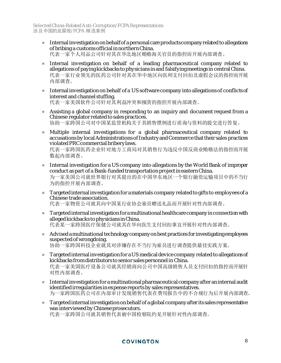- Internal investigation on behalf of a personal care products company related to allegations of bribing a customs official in northern China. 代表一家个人用品公司针对其在华北地区贿赂海关官员的指控而开展内部调查。
- Internal investigation on behalf of a leading pharmaceutical company related to allegations of paying kickbacks to physicians in and falsifying meetings in central China. 代表一家行业领先的医药公司针对其在华中地区向医师支付回扣及虚假会议的指控而开展 内部调查。
- Internal investigation on behalf of a US software company into allegations of conflicts of interest and channel stuffing. 代表一家美国软件公司针对其利益冲突和囤货的指控开展内部调查。
- Assisting a global company in responding to an inquiry and document request from a Chinese regulator related to sales practices. 协助一家跨国公司对中国某监管机构关于其销售惯例进行质询与资料的提交进行答复。
- Multiple internal investigations for a global pharmaceutical company related to accusations by local Administrations of Industry and Commerce that their sales practices violated PRC commercial bribery laws.

代表一家跨国医药企业针对地方工商局对其销售行为违反中国反商业贿赂法的指控而开展 数起内部调查。

- Internal investigation for a US company into allegations by the World Bank of improper conduct as part of a Bank-funded transportation project in easternChina. 为一家美国公司就世界银行对其提出的在中国华东地区一个银行融资运输项目中的不当行 为的指控开展内部调查。
- Targetedinternal investigation for a materials company related to gifts to employees of a Chinese trade association. 代表一家物资公司就其向中国某行业协会雇员赠送礼品而开展针对性内部调查。
- **Targeted internal investigation for a multinational healthcare company in connection with** alleged kickbacks to physicians in China. 代表某一家跨国医疗保健公司就其在华向医生支付回扣事宜开展针对性内部调查。
- Advised a multinational technology company on best practices for investigating employees suspected of wrongdoing. 协助一家跨国科技企业就其对涉嫌存在不当行为雇员进行调查提供最佳实践方案。
- **Targeted internal investigation for a US medical device company related to allegations of** kickbacks from distributors to senior sales personnel in China. 代表一家美国医疗设备公司就其经销商向公司中国高级销售人员支付回扣的指控而开展针 对性内部调查。
- **Internal investigation for a multinational pharmaceutical company after an internal audit** identified irregularities in expense reports by sales representatives. 为一家跨国医药公司在内部审计发现销售代表在费用报告中的不合规行为后开展内部调查。
- Targeted internal investigation on behalf of a global company after its sales representative was interviewed by Chinese prosecutors. 代表一家跨国公司就其销售代表被中国检察院约见开展针对性内部调查。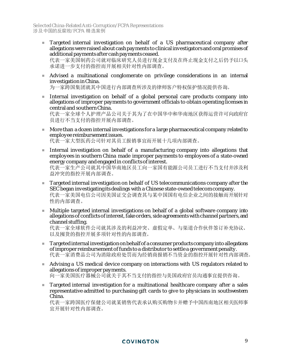**Targeted internal investigation on behalf of a US pharmaceutical company after** allegationswere raised about cash payments to clinical investigators and oral promises of additional payments after cash payments ceased.

代表一家美国制药公司就对临床研究人员进行现金支付及在终止现金支付之后仍予以口头 承诺进一步支付的指控而开展相关针对性内部调查。

 Advised a multinational conglomerate on privilege considerations in an internal investigation in China.

为一家跨国集团就其中国进行内部调查所涉及的律师客户特权保护情况提供咨询。

 Internal investigation on behalf of a global personal care products company into allegations of improper payments to government officials to obtain operating licenses in central and southern China.

代表一家全球个人护理产品公司关于其为了在中国华中和华南地区获得运营许可向政府官 员进行不当支付的指控开展内部调查。

- More than a dozen internal investigations for a large pharmaceutical company related to employee reimbursement issues. 代表一家大型医药公司针对其员工报销事宜而开展十几项内部调查。
- Internal investigation on behalf of a manufacturing company into allegations that employees in southern China made improper payments to employees of a state-owned energy company and engaged in conflicts of interest. 代表一家生产公司就其中国华南地区员工向一家国有能源公司员工进行不当支付并涉及利 益冲突的指控开展内部调查。
- **Targeted internal investigation on behalf of US telecommunications company after the** SEC began investigating its dealings with a Chinese state-owned telecom company. 代表一家美国电信公司因美国证交会调查其与某中国国有电信企业之间的接触而开展针对 性的内部调查。
- Multiple targeted internal investigations on behalf of a global software company into allegations of conflicts of interest, fake orders, side agreements with channel partners, and channel stuffing.

代表一家全球软件公司就其涉及的利益冲突、虚假定单、与渠道合作伙伴签订补充协议、 以及囤货的指控开展多项针对性的内部调查。

- $\blacksquare$  Targeted internal investigation on behalf of a consumer products company into allegations of improper reimbursement of funds to a distributor to settle a government penalty. 代表一家消费品公司为消除政府处罚而为经销商报销不当资金的指控开展针对性内部调查。
- Advising a US medical device company on interactions with US regulators related to allegations of improper payments. 向一家美国医疗器械公司就关于其不当支付的指控与美国政府官员沟通事宜提供咨询。
- **Targeted internal investigation for a multinational healthcare company after a sales** representative admitted to purchasing gift cards to give to physicians in southwestern China.

代表一家跨国医疗保健公司就某销售代表承认购买购物卡并赠予中国西南地区相关医师事 宜开展针对性内部调查。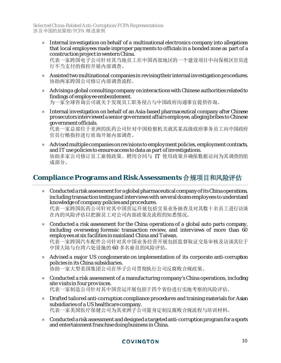Internal investigation on behalf of a multinational electronics company into allegations that local employees made improper payments to officials in a bonded zone as part of a construction project in western China.

代表一家跨国电子公司针对其当地员工在中国西部地区的一个建设项目中向保税区官员进 行不当支付的指控开展内部调查。

- Assisted two multinational companies in revising their internal investigation procedures. 协助两家跨国公司修订内部调查流程。
- Advising a global consulting company on interactions with Chinese authorities related to findings of employee embezzlement. 为一家全球咨询公司就关于发现员工职务侵占与中国政府沟通事宜提供咨询。
- **Internal investigation on behalf of an Asia-based pharmaceutical company after Chinese** prosecutors interviewed a senior government affairs employee, alleging bribes to Chinese government officials.

代表一家总部位于亚洲的医药公司针对中国检察机关就其某高级政府事务员工向中国政府 官员行贿指控进行质询开展内部调查。

Advised multiple companies on revisions to employment policies, employment contracts, and IT use policies to ensure access to data as part of investigations. 协助多家公司修订员工雇佣政策、聘用合同与 IT 使用政策并确保数据访问为其调查的组 成部分。

## <span id="page-9-0"></span>**Compliance Programs and Risk Assessments** 合规项目和风险评估

**Conducted a risk assessment for a global pharmaceutical company of its China operations,** including transaction testing and interviews with several dozen employees to understand knowledge of company policies and procedures.

代表一家跨国医药公司针对其中国营运开展包括交易业务抽查及对其数十名员工进行访谈 在内的风险评估以把握员工对公司内部政策及流程的知悉情况。

- Conducted a risk assessment for the China operations of a global auto parts company, including overseeing forensic transaction review, and interviews of more than 60 employees at six facilities in mainland China and Taiwan. 代表一家跨国汽车配件公司针对其中国业务经营开展包括监督取证交易审核及访谈其位于 中国大陆与台湾六处设施的 60 多名雇员的风险评估。
- Advised a major US conglomerate on implementation of its corporate anti-corruption policies in its China subsidiaries. 协助一家大型美国集团公司在华子公司贯彻执行公司反腐败合规政策。
- Conducted a risk assessment of a manufacturing company's China operations, including site visits in four provinces. 代表一家制造公司针对其中国营运开展包括于四个省份进行实地考察的风险评估。
- **Drafted tailored anti-corruption compliance procedures and training materials for Asian** subsidiaries of a US healthcare company. 代表一家美国医疗保健公司为其亚洲子公司量身定制反腐败合规流程与培训材料。
- Conducteda risk assessment and designed a targeted anti-corruption program for a sports and entertainment franchise doing business in China.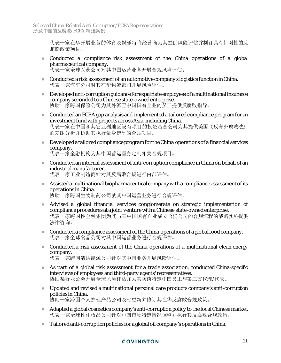代表一家在华开展业务的体育及娱乐特许经营商为其提供风险评估并制订具有针对性的反 贿赂政策项目。

- Conducted a compliance risk assessment of the China operations of a global pharmaceutical company. 代表一家全球医药公司对其中国运营业务开展合规风险评估。
- Conducteda risk assessment of an automotive company's logistics function in China. 代表一家汽车公司对其在华物流部门开展风险评估。
- Developedanti-corruption guidance for expatriate employees of a multinational insurance company seconded to a Chinese state-owned enterprise. 协助一家跨国保险公司为其外派至中国国有企业的员工提供反腐败指导。
- Conductedan FCPA gap analysis and implemented a tailored compliance program for an investment fund with projects across Asia, including China. 代表一家在中国和其它亚洲地区设有项目的投资基金公司为其提供美国《反海外腐败法》 的差距分析并协助其执行量身定制的合规项目。
- **Developed a tailored compliance program for the China operations of a financial services** company.

代表一家金融机构为其中国营运量身定制相关合规项目。

- **Conducted an internal assessment of anti-corruption compliance in China on behalf of an** industrial manufacturer. 代表一家工业制造商针对其反腐败合规进行内部评估。
- **Assisted a multinational biopharmaceutical company with a compliance assessment of its** operations in China.

协助一家跨国生物制药公司就其中国运营业务进行合规评估。

- Advised a global financial services conglomerate on strategic implementation of compliance procedures at a joint venture with a Chinese state-owned enterprise. 代表一家跨国性金融集团为其与某中国国有企业成立合资公司的合规流程的战略实施提供 法律咨询。
- $\blacksquare$  Conducted a compliance assessment of the China operations of a global food company. 代表一家全球食品公司对其中国运营业务进行合规评估。
- Conducted a risk assessment of the China operations of a multinational clean energy company. 代表一家跨国清洁能源公司针对其中国业务开展风险评估。
- As part of a global risk assessment for a trade association, conducted China-specific interviews of employees and third-party agents/representatives. 协助某行业公会开展全球风险评估并为其访谈特定中国员工与第三方代理/代表。
- Updated and revised a multinational personal care products company's anti-corruption policies in China. 协助一家跨国个人护理产品公司及时更新并修订其在华反腐败合规政策。
- Adapted a global cosmetics company's anti-corruption policy to the local Chinese market. 代表一家全球性化妆品公司针对中国市场特定情况调整并执行其反腐败合规政策。
- Tailored anti-corruption policies for a global oil company's operations in China.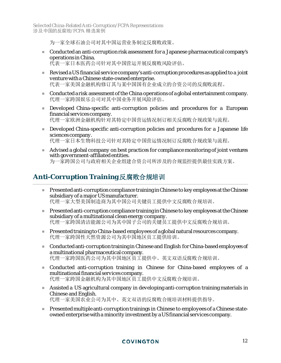Selected China-Related Anti-Corruption/FCPA Representations 涉及中国的反腐败/FCPA 精选案例

为一家全球石油公司对其中国运营业务制定反腐败政策。

- Conductedan anti-corruption risk assessment for a Japanese pharmaceutical company's operations in China. 代表一家日本医药公司针对其中国营运开展反腐败风险评估。
- Revised a US financial service company's anti-corruption procedures as applied to a joint venture with a Chinese state-owned enterprise. 代表一家美国金融机构修订其与某中国国有企业成立的合资公司的反腐败流程。
- Conducted a risk assessment of the China operations of a global entertainment company. 代理一家跨国娱乐公司对其中国业务开展风险评估。
- Developed China-specific anti-corruption policies and procedures for a European financial services company. 代理一家欧洲金融机构针对其特定中国营运情况制订相关反腐败合规政策与流程。
- Developed China-specific anti-corruption policies and procedures for a Japanese life sciences company. 代理一家日本生物科技公司针对其特定中国营运情况制订反腐败合规政策与流程。
- Advised a global company on best practices for compliance monitoring of joint ventures with government-affiliated entities. 为一家跨国公司与政府相关企业组建合资公司所涉及的合规监控提供最佳实践方案。

## <span id="page-11-0"></span>**Anti-Corruption Training** 反腐败合规培训

- **Presented anti-corruption compliance training in Chinese to key employees at the Chinese** subsidiary of a major US manufacturer. 代理一家大型美国制造商为其中国公司关键员工提供中文反腐败合规培训。
- **Presented anti-corruption compliance training in Chinese to key employees at the Chinese** subsidiary of a multinational clean energy company. 代理一家跨国清洁能源公司为其中国子公司的关键员工提供中文反腐败合规培训。
- $\blacksquare$  Presented training to China-based employees of a global natural resources company. 代理一家跨国性天然资源公司为其中国地区员工提供培训。
- Conductedanti-corruption training in Chinese and English for China-based employees of a multinational pharmaceutical company. 代理一家跨国医药公司为其中国地区员工提供中、英文双语反腐败合规培训。
- Conducted anti-corruption training in Chinese for China-based employees of a multinational financial services company. 代理一家跨国金融机构为其中国地区员工提供中文反腐败合规培训。
- Assisted a US agricultural company in developing anti-corruption training materials in Chinese and English. 代理一家美国农业公司为其中、英文双语的反腐败合规培训材料提供指导。
- **Presented multiple anti-corruption trainings in Chinese to employees of a Chinese state**owned enterprise with a minority investment by a US financial services company.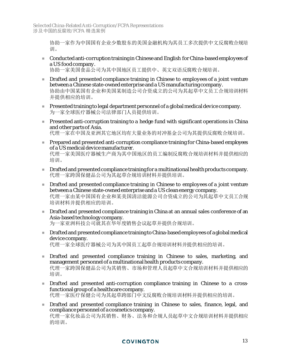协助一家作为中国国有企业少数股东的美国金融机构为其员工多次提供中文反腐败合规培 训。

 Conductedanti-corruption training in Chinese and English for China-based employees of a US food company.

协助一家美国食品公司为其中国地区员工提供中、英文双语反腐败合规培训。

- **Drafted and presented compliance training in Chinese to employees of a joint venture** between a Chinese state-owned enterprise and a US manufacturing company. 协助由中国某国有企业和美国某制造公司合资成立的公司为其起草中文员工合规培训材料 并提供相应的培训。
- **Presented training to legal department personnel of a global medical device company.** 为一家全球医疗器械公司法律部门人员提供培训。
- Presented anti-corruption training to a hedge fund with significant operations in China and other parts of Asia. 代理一家在中国及亚洲其它地区均有大量业务的对冲基金公司为其提供反腐败合规培训。
- **Prepared and presented anti-corruption compliance training for China-based employees** of a US medical device manufacturer. 代理一家美国医疗器械生产商为其中国地区的员工编制反腐败合规培训材料并提供相应的 培训。
- **EXECUTE:** Drafted and presented compliance training for a multinational health products company. 代理一家跨国保健品公司为其起草合规培训材料并提供培训。
- **Drafted and presented compliance training in Chinese to employees of a joint venture** between a Chinese state-owned enterprise and a US clean energy company. 代理一家由某中国国有企业和某美国清洁能源公司合资成立的公司为其起草中文员工合规 培训材料并提供相应的培训。
- **Drafted and presented compliance training in China at an annual sales conference of an** Asia-based technology company. 为一家亚洲科技公司就其在华年度销售会议起草并提供合规培训。
- **Drafted and presented compliance training to China-based employees of a global medical** device company. 代理一家全球医疗器械公司为其中国员工起草合规培训材料并提供相应的培训。
- Drafted and presented compliance training in Chinese to sales, marketing, and management personnel of a multinational health products company. 代理一家跨国保健品公司为其销售、市场和管理人员起草中文合规培训材料并提供相应的 培训。
- Drafted and presented anti-corruption compliance training in Chinese to a crossfunctional group of a healthcare company. 代理一家医疗保健公司为其起草跨部门中文反腐败合规培训材料并提供相应的培训。
- **Drafted and presented compliance training in Chinese to sales, finance, legal, and** compliance personnel of a cosmetics company. 代理一家化妆品公司为其销售、财务、法务和合规人员起草中文合规培训材料并提供相应 的培训。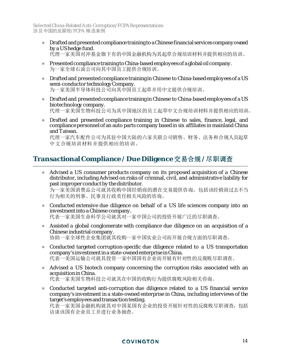- **Drafted and presented compliance training to a Chinese financial services company owned** by a US hedge fund. 代理一家美国对冲基金旗下有的中国金融机构为其起草合规培训材料并提供相应的培训。
- **Presented compliance training to China-based employees of a global oil company.** 为一家全球石油公司向其中国员工提供合规培训。
- **Drafted and presented compliance training in Chinese to China-based employees of a US** semi-conductor technology Company. 为一家美国半导体科技公司向其中国员工起草并用中文提供合规培训。
- Draftedand presented compliance training in Chinese to China-based employees of a US biotechnology company. 代理一家美国生物科技公司为其中国地区的员工起草中文合规培训材料并提供相应的培训。
- Drafted and presented compliance training in Chinese to sales, finance, legal, and compliance personnel of an auto parts company based in six affiliates in mainland China and Taiwan.

代理一家汽车配件公司为其驻中国大陆的六家关联公司销售、财务、法务和合规人员起草 中文合规培训材料并提供相应的培训。

## <span id="page-13-0"></span>**Transactional Compliance / Due Diligence** 交易合规 **/** 尽职调查

- Advised a US consumer products company on its proposed acquisition of a Chinese distributor, including Advised on risks of criminal, civil, and administrative liability for past improper conduct by the distributor. 为一家美国消费品公司就其收购中国经销商的潜在交易提供咨询,包括该经销商过去不当 行为相关的刑事、民事及行政责任相关风险的咨询。
- Conducted extensive due diligence on behalf of a US life sciences company into an investment into a Chinese company. 代表一家美国生命科学公司就其对一家中国公司的投资开展广泛的尽职调查。
- Assisted a global conglomerate with compliance due diligence on an acquisition of a Chinese industrial company. 协助一家全球性企业集团就其收购一家中国实业公司而开展合规方面的尽职调查。
- Conducted targeted corruption-specific due diligence related to a US transportation company's investment in a state-owned enterprise in China. 代表一美国运输公司就其投资一家中国国有企业而开展有针对性的反腐败尽职调查。
- Advised a US biotech company concerning the corruption risks associated with an acquisition in China. 代表一家美国生物科技公司就其在中国的收购行为提供腐败风险相关咨询。
- Conducted targeted anti-corruption due diligence related to a US financial service company's investment in a state-owned enterprise in China, including interviews of the target's employees and transaction testing.

代表一家美国金融机构就其对中国某国有企业的投资开展针对性的反腐败尽职调查,包括 访谈该国有企业员工并进行业务抽查。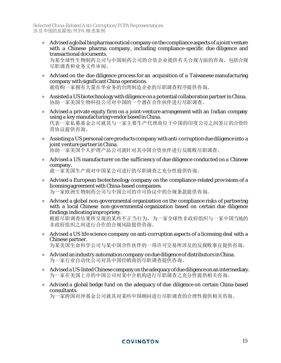$\blacksquare$  Advised a global biopharmaceutical company on the compliance aspects of a joint venture with a Chinese pharma company, including compliance-specific due diligence and transactional documents.

为某全球性生物制药公司与中国制药公司的合资企业提供有关合规方面的咨询,包括合规 尽职调查和业务文件审阅。

- Advised on the due diligence process for an acquisition of a Taiwanese manufacturing company with significant China operations. 就收购一家拥有大量在华业务的台湾制造企业的尽职调查程序提供咨询。
- Assisted a US biotechnology with diligence on a potential collaboration partner in China. 协助一家美国生物科技公司对中国的一个潜在合作伙伴进行尽职调查。
- Advised a private equity firm on a joint-venture arrangement with an Indian company using a key manufacturing vendor based in China. 代表一家私募基金公司就其与一家主要生产代理商位于中国的印度公司之间签订的合资经 营协议提供咨询。
- Assisting a US personal care products company with anti-corruption due diligence into a joint venture partner in China. 协助一家美国个人护理产品公司就针对其中国合资伙伴进行反腐败尽职调查。
- Advised a US manufacturer on the sufficiency of due diligence conducted on a Chinese company. 就一家美国生产商对中国某公司进行的尽职调查之充分性提供咨询。
- Advised a European biotechnology company on the compliance-related provisions of a licensing agreement with China-based companies. 为一家欧洲生物制药公司与中国公司的许可协议中的合规条款提供咨询。
- Advised a global non-governmental organization on the compliance risks of partnering with a local Chinese non-governmental organization based on certain due diligence findings indicating impropriety.

根据尽职调查结果所呈现的某些不正当行为,为一家全球性非政府组织与一家中国当地的 非政府组织之间进行合作的合规风险提供咨询。

- Advised a US life science company on anti-corruption aspects of a licensing deal with a Chinese partner. 为某美国生命科学公司与某中国合作伙伴的一项许可交易所涉及的反腐败事宜提供咨询。
- Advised an industry automation company on due diligence of distributors in China. 为一家行业自动化公司对其中国经销商的尽职调查提供咨询。
- Advised a US-listed Chinese company on the adequacy of due diligence on an intermediary. 为一家在美国上市的中国公司对某中介机构进行尽职调查之充分性提供相关咨询。
- Advised a global hedge fund on the adequacy of due diligence on certain China-based consultants.

为一家跨国对冲基金公司就其对某些中国顾问进行尽职调查的合理性提供相关咨询。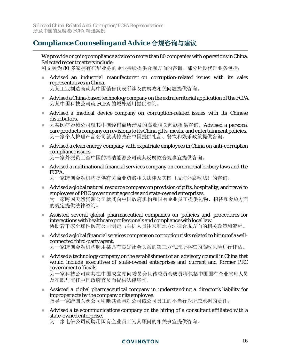## <span id="page-15-0"></span>**Compliance Counseling and Advice** 合规咨询与建议

We provide ongoing compliance advice to more than 80 companies with operations in China. Selected recent matters include:

科文顿为 80 多家拥有在华业务的企业持续提供合规方面的咨询。部分近期代理业务包括:

- Advised an industrial manufacturer on corruption-related issues with its sales representatives in China. 为某工业制造商就其中国销售代表所涉及的腐败相关问题提供咨询。
- Advised a China-based technology company on the extraterritorial application of the FCPA. 为某中国科技公司就 FCPA 的域外适用提供咨询。
- Advised a medical device company on corruption-related issues with its Chinese distributors.
- 为某医疗器械公司就其中国经销商所涉及的腐败相关问题提供咨询。Advised a personal care products company on revisions to its China gifts, meals, and entertainment policies. 为一家个人护理产品公司就其修改在中国提供礼品、餐饮和娱乐政策提供咨询。
- Advised a clean energy company with expatriate employees in China on anti-corruption compliance issues. 为一家外派员工至中国的清洁能源公司就其反腐败合规事宜提供咨询。
- **Advised a multinational financial services company on commercial bribery laws and the** FCPA. 为一家跨国金融机构提供有关商业贿赂相关法律及美国《反海外腐败法》的咨询。
- Adviseda global natural resource company on provision of gifts, hospitality, and travel to employees of PRC government agencies and state-owned enterprises. 为一家跨国天然资源公司就其向中国政府机构和国有企业员工提供礼物、招待和差旅方面 的规定提供法律咨询。
- Assisted several global pharmaceutical companies on policies and procedures for interactions with healthcare professionals and compliance with local law. 协助若干家全球性医药公司制定与医护人员往来和地方法律合规方面的相关政策和流程。
- Adviseda global financial services company on corruption risks related to hiring of a wellconnected third-party agent. 为一家跨国金融机构聘用某具有良好社会关系的第三方代理所存在的腐败风险进行评估。
- Adviseda technology company on the establishment of an advisory council in China that would include executives of state-owned enterprises and current and former PRC government officials.

为一家科技公司就其在中国成立顾问委员会且该委员会成员将包括中国国有企业管理人员 及在职与前任中国政府官员而提供法律咨询。

- Assisted a global pharmaceutical company in understanding a director's liability for improper acts by the company or its employee. 指导一家跨国医药公司明晰其董事对公司或公司员工的不当行为所应承担的责任。
- Advised a telecommunications company on the hiring of a consultant affiliated with a state-owned enterprise.

为一家电信公司就聘用国有企业员工为其顾问的相关事宜提供咨询。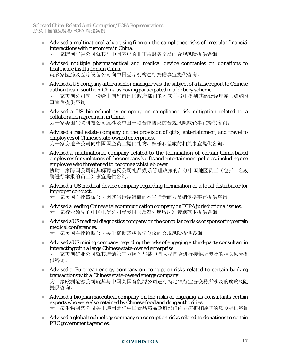- Advised a multinational advertising firm on the compliance risks of irregular financial interactions with customers in China. 为一家跨国广告公司就其与中国客户的非正常财务交易的合规风险提供咨询。
- Advised multiple pharmaceutical and medical device companies on donations to healthcare institutions in China. 就多家医药及医疗设备公司向中国医疗机构进行捐赠事宜提供咨询。
- Advised a US company after a senior manager was the subject of a false report to Chinese authorities in southern China as having participated in a bribery scheme. 为一家美国公司就一份给中国华南地区政府部门的不实举报中提到其高级经理参与贿赂的 事宜后提供咨询。
- Advised a US biotechnology company on compliance risk mitigation related to a collaboration agreement in China. 为一家美国生物科技公司就涉及中国一项合作协议的合规风险减轻事宜提供咨询。
- Advised a real estate company on the provision of gifts, entertainment, and travel to employees of Chinese state-owned enterprises. 为一家房地产公司向中国国企员工提供礼物、娱乐和差旅的相关事宜提供咨询。
- Advised a multinational company related to the termination of certain China-based employees for violations of the company's gifts and entertainment policies, including one employee who threatenedto become a whistleblower. 协助一家跨国公司就其解聘违反公司礼品娱乐管理政策的部分中国地区员工(包括一名威 胁进行举报的员工)事宜提供咨询。
- Advised a US medical device company regarding termination of a local distributor for improper conduct. 为一家美国医疗器械公司因其当地经销商的不当行为而被吊销资格事宜提供咨询。
- Adviseda leading Chinese telecommunication company on FCPA jurisdictional issues. 为一家行业领先的中国电信公司就美国《反海外腐败法》管辖范围提供咨询。
- Advised a US medical diagnostics company on the compliance risks of sponsoring certain medical conferences. 为一家美国医疗诊断公司关于赞助某些医学会议的合规风险提供咨询。

Adviseda US mining company regarding the risks of engaging a third-party consultant in

- interacting with a large Chinese state-owned enterprise. 为一家美国矿业公司就其聘请第三方顾问与某中国大型国企进行接触所涉及的相关风险提 供咨询。
- Advised a European energy company on corruption risks related to certain banking transactions with a Chinese state-owned energy company. 为一家欧洲能源公司就其与中国某国有能源公司进行特定银行业务交易所涉及的腐败风险 提供咨询。
- Advised a biopharmaceutical company on the risks of engaging as consultants certain experts who were also retained by Chinese food and drug authorities. 为一家生物制药公司关于聘用兼任中国食品药品政府部门的专家担任顾问的风险提供咨询。
- Advised a global technology company on corruption risks related to donations to certain PRC government agencies.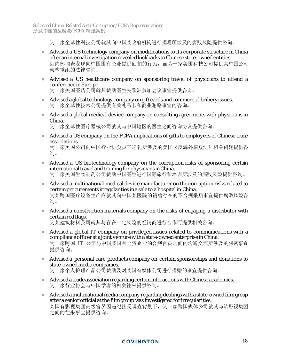为一家全球性科技公司就其向中国某政府机构进行捐赠所涉及的腐败风险提供咨询。

- Advised a US technology company on modifications to its corporate structure in China after an internal investigation revealed kickbacks to Chinese state-owned entities. 因内部调查发现向中国国有企业提供回扣的行为,而为一家美国科技公司提供其中国公司 架构重组的法律咨询。
- Advised a US healthcare company on sponsoring travel of physicians to attend a conference in Europe.

为一家美国医药公司就其赞助医生去欧洲参加会议事宜提供咨询。

- Advised a global technology company on gift cards and commercial bribery issues. 为一家全球性技术公司提供有关礼品卡和商业贿赂事宜的咨询。
- Advised a global medical device company on consulting agreements with physicians in China.

为一家全球性医疗器械公司就其与中国地区的医生之间咨询协议提供咨询。

- Advised a US company on the FCPA implications of gifts to employees of Chinese trade associations. 为一家美国公司向中国行业协会员工送礼所涉及的美国《反海外腐败法》相关问题提供咨 询。
- Advised a US biotechnology company on the corruption risks of sponsoring certain international travel and training for physicians in China. 为一家美国生物制药公司赞助中国医生进行国际旅行和培训所涉及的腐败风险提供咨询。
- **Advised a multinational medical device manufacturer on the corruption risks related to** certain procurements irregularities in a sale to a hospital in China. 为某跨国医疗设备生产商就其向中国某医院的销售存在的不合规采购事宜提供腐败风险咨 询。
- Advised a construction materials company on the risks of engaging a distributor with certain red flags. 为某建筑材料公司就其与存在一定风险的经销商进行合作而提供相关咨询。
- Advised a global IT company on privileged issues related to communications with a compliance officer at a joint venture with a state-owned enterprise in China. 为一家跨国 IT 公司与中国某国有合资企业的合规官员之间的沟通交流所涉及的保密事宜 提供咨询。
- Advised a personal care products company on certain sponsorships and donations to state-owned media companies.

为一家个人护理产品公司赞助及对某国有媒体公司进行捐赠的事宜提供咨询。

- Advised a trade association regarding certain interactions with Chinese academics. 为一家行业协会与中国学者的相关往来提供咨询。
- $\blacksquare$  Advised a multinational media company regarding dealings with a state-owned film group after a senior official at the film group was investigated for irregularities. 某国有影视集团高级官员因违纪接受调查背景下,为一家跨国媒体公司就其与该影视集团 之间的往来事宜提供咨询。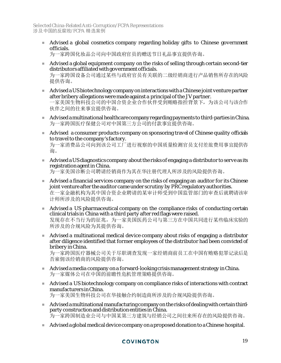Advised a global cosmetics company regarding holiday gifts to Chinese government officials.

为一家跨国化妆品公司向中国政府官员的赠送节日礼品事宜提供咨询。

 Advised a global equipment company on the risks of selling through certain second-tier distributors affiliated with government officials. 为一家跨国设备公司通过某些与政府官员有关联的二级经销商进行产品销售所存在的风险

提供咨询。

- Advised a US biotechnology company on interactions with a Chinese joint venture partner after bribery allegations were made against a principal of the JV partner. 一家美国生物科技公司的中国合资企业合作伙伴受到贿赂指控背景下,为该公司与该合作 伙伴之间的往来事宜提供咨询。
- Adviseda multinational healthcare company regarding payments to third-parties in China. 为一家跨国医疗保健公司对中国第三方公司的付款事宜提供咨询。
- Advised a consumer products company on sponsoring travel of Chinese quality officials to travel to the company's factory.

为一家消费品公司向到该公司工厂进行视察的中国质量检测官员支付差旅费用事宜提供咨 询。

 Adviseda US diagnostics company about the risks of engaging a distributor to serve as its registration agent in China.

为一家美国诊断公司聘请经销商作为其在华注册代理人所涉及的风险提供咨询。

- Advised a financial services company on the risks of engaging an auditor for its Chinese joint venture after the auditor came under scrutiny by PRC regulatory authorities. 在一家金融机构为其中国合资企业聘请的某审计师受到中国监管部门的审查后就聘请该审 计师所涉及的风险提供咨询。
- Advised a US pharmaceutical company on the compliance risks of conducting certain clinical trials in China with a third party after red flags were raised. 发现存在不当行为的征兆,为一家美国医药公司与第三方在中国共同进行某些临床实验的 所涉及的合规风险为其提供咨询。
- Advised a multinational medical device company about risks of engaging a distributor after diligence identified that former employees of the distributor had been convicted of bribery in China.

为一家跨国医疗器械公司关于尽职调查发现一家经销商前员工在中国有贿赂犯罪记录后是 否雇佣该经销商的风险提供咨询。

- Adviseda media company on a forward-looking crisis management strategy in China. 为一家媒体公司在中国的前瞻性危机管理策略提供咨询。
- Advised a US biotechnology company on compliance risks of interactions with contract manufacturers in China. 为一家美国生物科技公司在华接触合约制造商所涉及的合规风险提供咨询。
- Adviseda multinational manufacturing company on the risks of dealing with certain thirdparty construction and distribution entities in China. 为一家跨国制造业公司与中国某第三方建筑与经销公司之间往来所存在的风险提供咨询。
- Advised a global medical device company on a proposed donation to a Chinese hospital.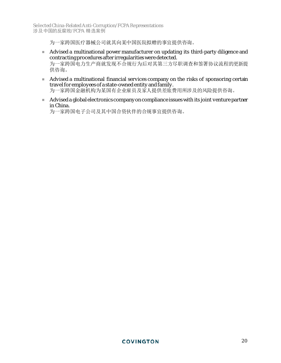为一家跨国医疗器械公司就其向某中国医院拟赠的事宜提供咨询。

- Advised a multinational power manufacturer on updating its third-party diligence and contracting procedures after irregularities were detected. 为一家跨国电力生产商就发现不合规行为后对其第三方尽职调查和签署协议流程的更新提 供咨询。
- Advised a multinational financial services company on the risks of sponsoring certain travel for employees of a state-owned entity and family. 为一家跨国金融机构为某国有企业雇员及家人提供差旅费用所涉及的风险提供咨询。
- Advised a global electronics company on compliance issues with its joint venture partner in China.

为一家跨国电子公司及其中国合资伙伴的合规事宜提供咨询。